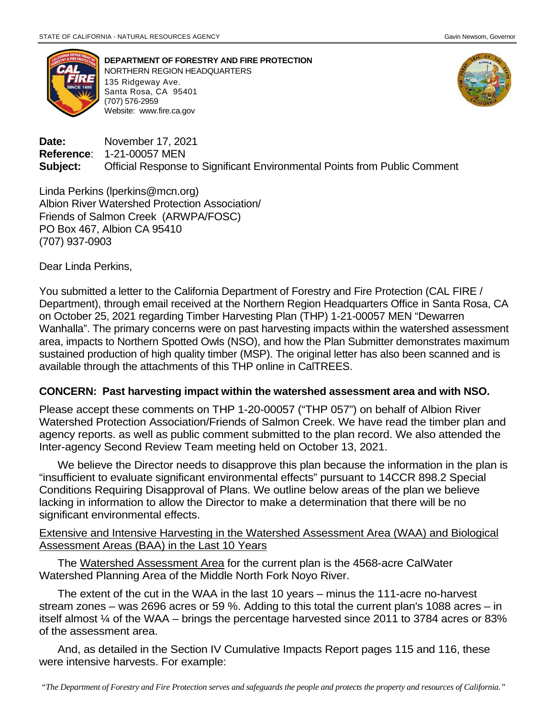

**DEPARTMENT OF FORESTRY AND FIRE PROTECTION** NORTHERN REGION HEADQUARTERS 135 Ridgeway Ave. Santa Rosa, CA 95401 (707) 576-2959 Website: [www.fire.ca.gov](http://www.fire.ca.gov/)



**Date:** November 17, 2021 **Reference**: 1-21-00057 MEN **Subject:** Official Response to Significant Environmental Points from Public Comment

Linda Perkins (lperkins@mcn.org) Albion River Watershed Protection Association/ Friends of Salmon Creek (ARWPA/FOSC) PO Box 467, Albion CA 95410 (707) 937-0903

Dear Linda Perkins,

You submitted a letter to the California Department of Forestry and Fire Protection (CAL FIRE / Department), through email received at the Northern Region Headquarters Office in Santa Rosa, CA on October 25, 2021 regarding Timber Harvesting Plan (THP) 1-21-00057 MEN "Dewarren Wanhalla". The primary concerns were on past harvesting impacts within the watershed assessment area, impacts to Northern Spotted Owls (NSO), and how the Plan Submitter demonstrates maximum sustained production of high quality timber (MSP). The original letter has also been scanned and is available through the attachments of this THP online in CalTREES.

## **CONCERN: Past harvesting impact within the watershed assessment area and with NSO.**

Please accept these comments on THP 1-20-00057 ("THP 057") on behalf of Albion River Watershed Protection Association/Friends of Salmon Creek. We have read the timber plan and agency reports. as well as public comment submitted to the plan record. We also attended the Inter-agency Second Review Team meeting held on October 13, 2021.

We believe the Director needs to disapprove this plan because the information in the plan is "insufficient to evaluate significant environmental effects" pursuant to 14CCR 898.2 Special Conditions Requiring Disapproval of Plans. We outline below areas of the plan we believe lacking in information to allow the Director to make a determination that there will be no significant environmental effects.

## Extensive and Intensive Harvesting in the Watershed Assessment Area (WAA) and Biological Assessment Areas (BAA) in the Last 10 Years

The Watershed Assessment Area for the current plan is the 4568-acre CalWater Watershed Planning Area of the Middle North Fork Noyo River.

The extent of the cut in the WAA in the last 10 years – minus the 111-acre no-harvest stream zones – was 2696 acres or 59 %. Adding to this total the current plan's 1088 acres – in itself almost ¼ of the WAA – brings the percentage harvested since 2011 to 3784 acres or 83% of the assessment area.

And, as detailed in the Section IV Cumulative Impacts Report pages 115 and 116, these were intensive harvests. For example: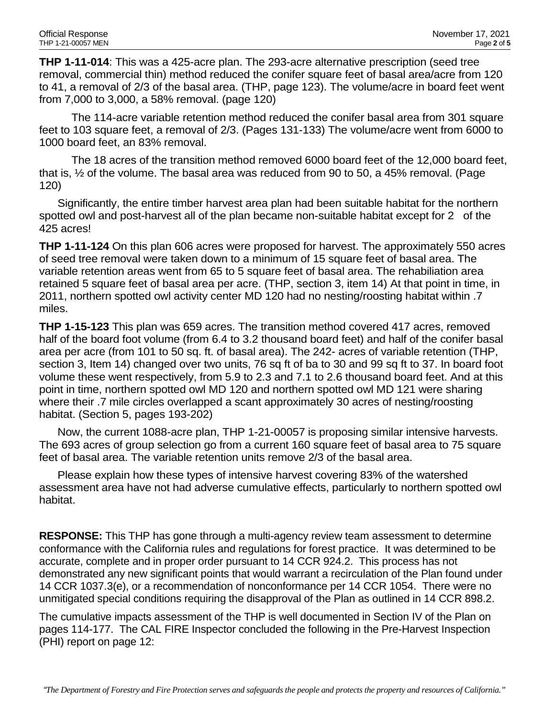**THP 1-11-014**: This was a 425-acre plan. The 293-acre alternative prescription (seed tree removal, commercial thin) method reduced the conifer square feet of basal area/acre from 120 to 41, a removal of 2/3 of the basal area. (THP, page 123). The volume/acre in board feet went from 7,000 to 3,000, a 58% removal. (page 120)

The 114-acre variable retention method reduced the conifer basal area from 301 square feet to 103 square feet, a removal of 2/3. (Pages 131-133) The volume/acre went from 6000 to 1000 board feet, an 83% removal.

The 18 acres of the transition method removed 6000 board feet of the 12,000 board feet, that is, ½ of the volume. The basal area was reduced from 90 to 50, a 45% removal. (Page 120)

Significantly, the entire timber harvest area plan had been suitable habitat for the northern spotted owl and post-harvest all of the plan became non-suitable habitat except for 2 of the 425 acres!

**THP 1-11-124** On this plan 606 acres were proposed for harvest. The approximately 550 acres of seed tree removal were taken down to a minimum of 15 square feet of basal area. The variable retention areas went from 65 to 5 square feet of basal area. The rehabiliation area retained 5 square feet of basal area per acre. (THP, section 3, item 14) At that point in time, in 2011, northern spotted owl activity center MD 120 had no nesting/roosting habitat within .7 miles.

**THP 1-15-123** This plan was 659 acres. The transition method covered 417 acres, removed half of the board foot volume (from 6.4 to 3.2 thousand board feet) and half of the conifer basal area per acre (from 101 to 50 sq. ft. of basal area). The 242- acres of variable retention (THP, section 3, Item 14) changed over two units, 76 sq ft of ba to 30 and 99 sq ft to 37. In board foot volume these went respectively, from 5.9 to 2.3 and 7.1 to 2.6 thousand board feet. And at this point in time, northern spotted owl MD 120 and northern spotted owl MD 121 were sharing where their .7 mile circles overlapped a scant approximately 30 acres of nesting/roosting habitat. (Section 5, pages 193-202)

Now, the current 1088-acre plan, THP 1-21-00057 is proposing similar intensive harvests. The 693 acres of group selection go from a current 160 square feet of basal area to 75 square feet of basal area. The variable retention units remove 2/3 of the basal area.

Please explain how these types of intensive harvest covering 83% of the watershed assessment area have not had adverse cumulative effects, particularly to northern spotted owl habitat.

**RESPONSE:** This THP has gone through a multi-agency review team assessment to determine conformance with the California rules and regulations for forest practice. It was determined to be accurate, complete and in proper order pursuant to 14 CCR 924.2. This process has not demonstrated any new significant points that would warrant a recirculation of the Plan found under 14 CCR 1037.3(e), or a recommendation of nonconformance per 14 CCR 1054. There were no unmitigated special conditions requiring the disapproval of the Plan as outlined in 14 CCR 898.2.

The cumulative impacts assessment of the THP is well documented in Section IV of the Plan on pages 114-177. The CAL FIRE Inspector concluded the following in the Pre-Harvest Inspection (PHI) report on page 12: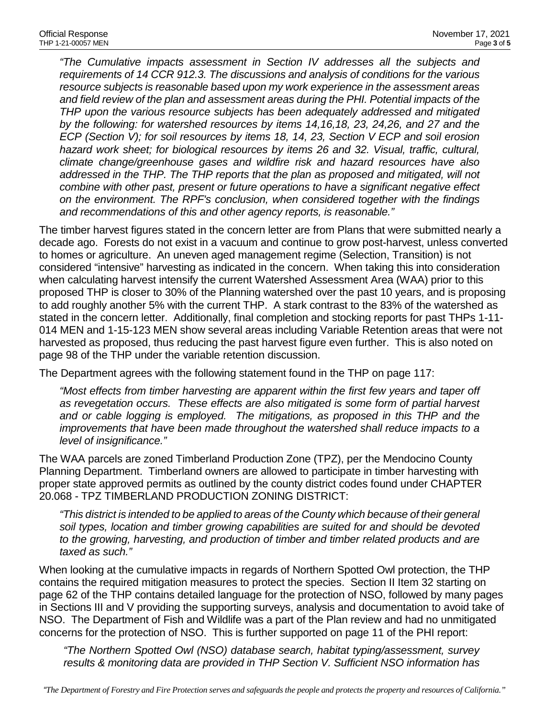*"The Cumulative impacts assessment in Section IV addresses all the subjects and requirements of 14 CCR 912.3. The discussions and analysis of conditions for the various resource subjects is reasonable based upon my work experience in the assessment areas and field review of the plan and assessment areas during the PHI. Potential impacts of the THP upon the various resource subjects has been adequately addressed and mitigated by the following: for watershed resources by items 14,16,18, 23, 24,26, and 27 and the ECP (Section V); for soil resources by items 18, 14, 23, Section V ECP and soil erosion hazard work sheet; for biological resources by items 26 and 32. Visual, traffic, cultural, climate change/greenhouse gases and wildfire risk and hazard resources have also addressed in the THP. The THP reports that the plan as proposed and mitigated, will not combine with other past, present or future operations to have a significant negative effect on the environment. The RPF's conclusion, when considered together with the findings and recommendations of this and other agency reports, is reasonable."*

The timber harvest figures stated in the concern letter are from Plans that were submitted nearly a decade ago. Forests do not exist in a vacuum and continue to grow post-harvest, unless converted to homes or agriculture. An uneven aged management regime (Selection, Transition) is not considered "intensive" harvesting as indicated in the concern. When taking this into consideration when calculating harvest intensify the current Watershed Assessment Area (WAA) prior to this proposed THP is closer to 30% of the Planning watershed over the past 10 years, and is proposing to add roughly another 5% with the current THP. A stark contrast to the 83% of the watershed as stated in the concern letter. Additionally, final completion and stocking reports for past THPs 1-11- 014 MEN and 1-15-123 MEN show several areas including Variable Retention areas that were not harvested as proposed, thus reducing the past harvest figure even further. This is also noted on page 98 of the THP under the variable retention discussion.

The Department agrees with the following statement found in the THP on page 117:

*"Most effects from timber harvesting are apparent within the first few years and taper off as revegetation occurs. These effects are also mitigated is some form of partial harvest and or cable logging is employed. The mitigations, as proposed in this THP and the improvements that have been made throughout the watershed shall reduce impacts to a level of insignificance."*

The WAA parcels are zoned Timberland Production Zone (TPZ), per the Mendocino County Planning Department. Timberland owners are allowed to participate in timber harvesting with proper state approved permits as outlined by the county district codes found under CHAPTER 20.068 - TPZ TIMBERLAND PRODUCTION ZONING DISTRICT:

*"This district is intended to be applied to areas of the County which because of their general soil types, location and timber growing capabilities are suited for and should be devoted to the growing, harvesting, and production of timber and timber related products and are taxed as such."* 

When looking at the cumulative impacts in regards of Northern Spotted Owl protection, the THP contains the required mitigation measures to protect the species. Section II Item 32 starting on page 62 of the THP contains detailed language for the protection of NSO, followed by many pages in Sections III and V providing the supporting surveys, analysis and documentation to avoid take of NSO. The Department of Fish and Wildlife was a part of the Plan review and had no unmitigated concerns for the protection of NSO. This is further supported on page 11 of the PHI report:

*"The Northern Spotted Owl (NSO) database search, habitat typing/assessment, survey results & monitoring data are provided in THP Section V. Sufficient NSO information has*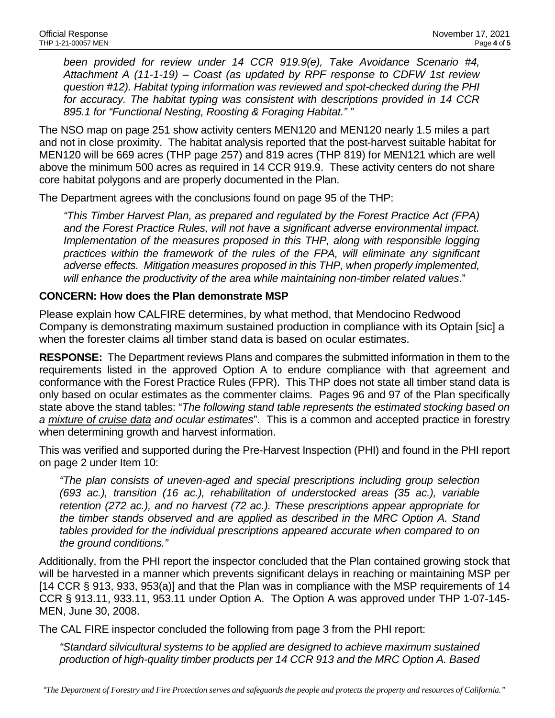*been provided for review under 14 CCR 919.9(e), Take Avoidance Scenario #4, Attachment A (11-1-19) – Coast (as updated by RPF response to CDFW 1st review question #12). Habitat typing information was reviewed and spot-checked during the PHI for accuracy. The habitat typing was consistent with descriptions provided in 14 CCR 895.1 for "Functional Nesting, Roosting & Foraging Habitat." "*

The NSO map on page 251 show activity centers MEN120 and MEN120 nearly 1.5 miles a part and not in close proximity. The habitat analysis reported that the post-harvest suitable habitat for MEN120 will be 669 acres (THP page 257) and 819 acres (THP 819) for MEN121 which are well above the minimum 500 acres as required in 14 CCR 919.9. These activity centers do not share core habitat polygons and are properly documented in the Plan.

The Department agrees with the conclusions found on page 95 of the THP:

*"This Timber Harvest Plan, as prepared and regulated by the Forest Practice Act (FPA) and the Forest Practice Rules, will not have a significant adverse environmental impact. Implementation of the measures proposed in this THP, along with responsible logging practices within the framework of the rules of the FPA, will eliminate any significant adverse effects. Mitigation measures proposed in this THP, when properly implemented, will enhance the productivity of the area while maintaining non-timber related values*."

## **CONCERN: How does the Plan demonstrate MSP**

Please explain how CALFIRE determines, by what method, that Mendocino Redwood Company is demonstrating maximum sustained production in compliance with its Optain [sic] a when the forester claims all timber stand data is based on ocular estimates.

**RESPONSE:** The Department reviews Plans and compares the submitted information in them to the requirements listed in the approved Option A to endure compliance with that agreement and conformance with the Forest Practice Rules (FPR). This THP does not state all timber stand data is only based on ocular estimates as the commenter claims. Pages 96 and 97 of the Plan specifically state above the stand tables: "*The following stand table represents the estimated stocking based on a mixture of cruise data and ocular estimates*". This is a common and accepted practice in forestry when determining growth and harvest information.

This was verified and supported during the Pre-Harvest Inspection (PHI) and found in the PHI report on page 2 under Item 10:

*"The plan consists of uneven-aged and special prescriptions including group selection (693 ac.), transition (16 ac.), rehabilitation of understocked areas (35 ac.), variable retention (272 ac.), and no harvest (72 ac.). These prescriptions appear appropriate for the timber stands observed and are applied as described in the MRC Option A. Stand tables provided for the individual prescriptions appeared accurate when compared to on the ground conditions."*

Additionally, from the PHI report the inspector concluded that the Plan contained growing stock that will be harvested in a manner which prevents significant delays in reaching or maintaining MSP per [14 CCR § 913, 933, 953(a)] and that the Plan was in compliance with the MSP requirements of 14 CCR § 913.11, 933.11, 953.11 under Option A. The Option A was approved under THP 1-07-145- MEN, June 30, 2008.

The CAL FIRE inspector concluded the following from page 3 from the PHI report:

*"Standard silvicultural systems to be applied are designed to achieve maximum sustained production of high-quality timber products per 14 CCR 913 and the MRC Option A. Based*